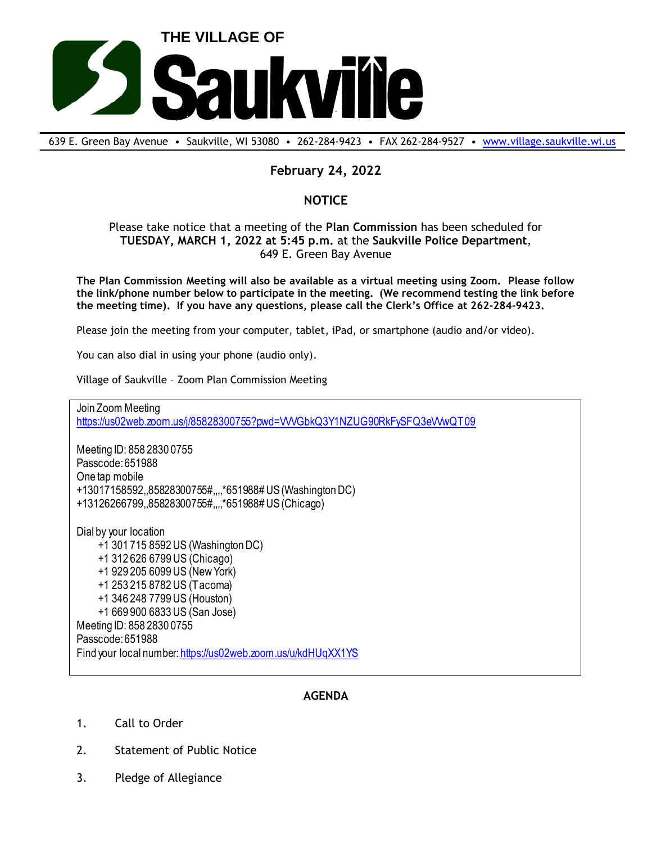

639 E. Green Bay Avenue • Saukville, WI 53080 • 262-284-9423 • FAX 262-284-9527 • [www.village.saukville.wi.us](http://www.village.saukville.wi.us/)

## **February 24, 2022**

## **NOTICE**

## Please take notice that a meeting of the **Plan Commission** has been scheduled for **TUESDAY, MARCH 1, 2022 at 5:45 p.m.** at the **Saukville Police Department**, 649 E. Green Bay Avenue

**The Plan Commission Meeting will also be available as a virtual meeting using Zoom. Please follow the link/phone number below to participate in the meeting. (We recommend testing the link before the meeting time). If you have any questions, please call the Clerk's Office at 262-284-9423.**

Please join the meeting from your computer, tablet, iPad, or smartphone (audio and/or video).

You can also dial in using your phone (audio only).

Village of Saukville – Zoom Plan Commission Meeting

Join Zoom Meeting https://us02web.zoom.us/j/85828300755?pwd=VVVGbkQ3Y1NZUG90RkFySFQ3eVVwQT09

Meeting ID: 858 2830 0755 Passcode: 651988 One tap mobile +13017158592,,85828300755#,,,,\*651988# US (Washington DC) +13126266799,,85828300755#,,,,\*651988# US (Chicago)

Dial by your location +1 301 715 8592 US (Washington DC) +1 312 626 6799 US (Chicago) +1 929 205 6099 US (New York) +1 253 215 8782 US (Tacoma) +1 346 248 7799 US (Houston) +1 669 900 6833 US (San Jose) Meeting ID: 858 2830 0755 Passcode: 651988 Find your local number: https://us02web.zoom.us/u/kdHUqXX1YS

## **AGENDA**

- 1. Call to Order
- 2. Statement of Public Notice
- 3. Pledge of Allegiance